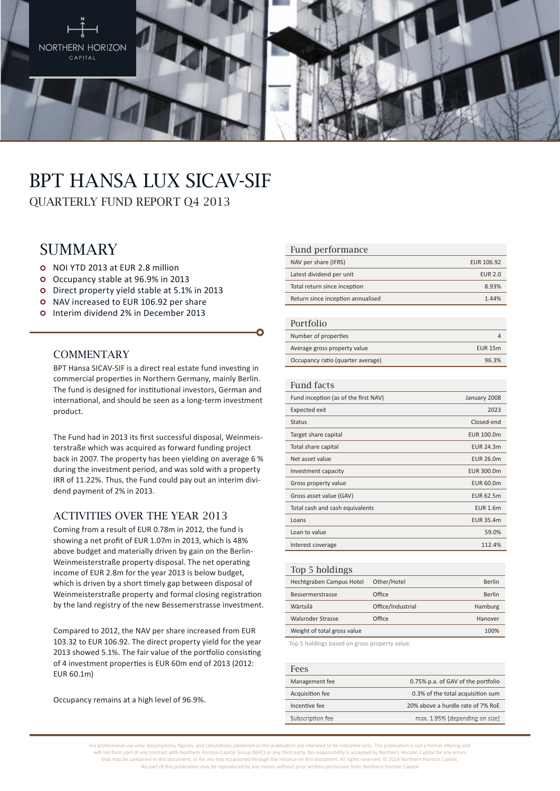

# BPT Hansa Lux SICAV-SIF

QUARTERLY FUND REPORT Q4 2013

### **SUMMARY**

- NOI YTD 2013 at EUR 2.8 million
- Occupancy stable at 96.9% in 2013
- Direct property yield stable at 5.1% in 2013
- o NAV increased to EUR 106.92 per share
- O Interim dividend 2% in December 2013

#### **COMMENTARY**

BPT Hansa SICAV-SIF is a direct real estate fund investing in commercial properties in Northern Germany, mainly Berlin. The fund is designed for institutional investors, German and international, and should be seen as a long-term investment product.

The Fund had in 2013 its first successful disposal, Weinmeisterstraße which was acquired as forward funding project back in 2007. The property has been yielding on average 6 % during the investment period, and was sold with a property IRR of 11.22%. Thus, the Fund could pay out an interim dividend payment of 2% in 2013.

#### Activities over THE YEAR 2013

Coming from a result of EUR 0.78m in 2012, the fund is showing a net profit of EUR 1.07m in 2013, which is 48% above budget and materially driven by gain on the Berlin-Weinmeisterstraße property disposal. The net operating income of EUR 2.8m for the year 2013 is below budget, which is driven by a short timely gap between disposal of Weinmeisterstraße property and formal closing registration by the land registry of the new Bessemerstrasse investment.

Compared to 2012, the NAV per share increased from EUR 103.32 to EUR 106.92. The direct property yield for the year 2013 showed 5.1%. The fair value of the portfolio consisting of 4 investment properties is EUR 60m end of 2013 (2012: EUR 60.1m)

Occupancy remains at a high level of 96.9%.

#### Fund performance

| NAV per share (IFRS)              | EUR 106.92     |
|-----------------------------------|----------------|
| Latest dividend per unit          | <b>EUR 2.0</b> |
| Total return since inception      | 8.93%          |
| Return since inception annualised | 1 44%          |

#### Portfolio

| T OT LIOITO                       |                |
|-----------------------------------|----------------|
| Number of properties              |                |
| Average gross property value      | <b>EUR 15m</b> |
| Occupancy ratio (quarter average) | 96.3%          |

#### Fund facts

| Fund inception (as of the first NAV) | January 2008     |
|--------------------------------------|------------------|
| Expected exit                        | 2023             |
| <b>Status</b>                        | Closed-end       |
| Target share capital                 | EUR 100.0m       |
| Total share capital                  | <b>EUR 24.3m</b> |
| Net asset value                      | EUR 26.0m        |
| Investment capacity                  | EUR 300.0m       |
| Gross property value                 | EUR 60.0m        |
| Gross asset value (GAV)              | EUR 62.5m        |
| Total cash and cash equivalents      | <b>EUR 1.6m</b>  |
| Loans                                | EUR 35.4m        |
| Loan to value                        | 59.0%            |
| Interest coverage                    | 112.4%           |
|                                      |                  |

#### Top 5 holdings Hechtgraben Campus Hotel Other/Hotel Berlin Bessermerstrasse Office Berlin Wärtsilä Office/Industrial Hamburg Walsroder Strasse **Office Community CONFIDENTIAL EXAMPLE AT A POST HANOVER** Weight of total gross value 100% and 100%

Top 5 holdings based on gross property value.

#### Fees Management fee 0.75% p.a. of GAV of the portfolio Acquisition fee 0.3% of the total acquisition sum Incentive fee 20% above a hurdle rate of 7% RoE Subscription fee max. 1.95% (depending on size)

For professional use only. Assumptions, figures, and calculations contained in this publication are intended to be indicative only. This publication is not a formal offering and will not form part of any contract with Northern Horizon Capital Group (NHC) or any third party. No responsibility is accepted by Northern Horizon Capital for any errors that may be contained in this document, or for any loss occasioned through the reliance on this document. All rights reserved. © 2014 Northern Horizon Capital. No part of this publication may be reproduced by any means without prior written permission from Northern Horizon Capital